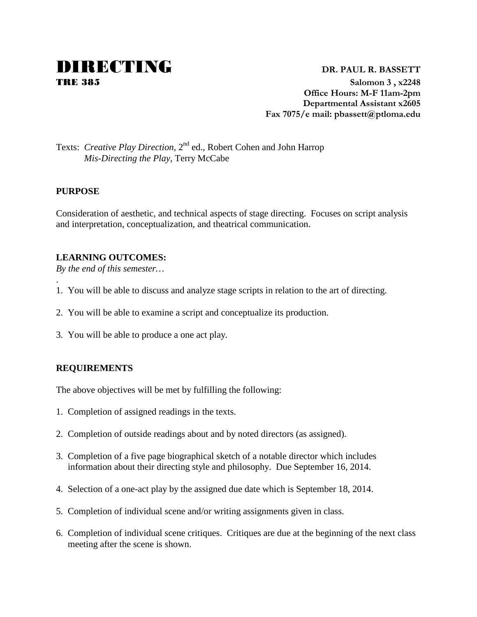# **DIRECTING** DR. PAUL R. BASSETT

TRE 385 **Salomon 3 , x2248 Office Hours: M-F 11am-2pm Departmental Assistant x2605 Fax 7075/e mail: pbassett@ptloma.edu**

## Texts: *Creative Play Direction*, 2<sup>nd</sup> ed., Robert Cohen and John Harrop *Mis-Directing the Play*, Terry McCabe

#### **PURPOSE**

.

Consideration of aesthetic, and technical aspects of stage directing. Focuses on script analysis and interpretation, conceptualization, and theatrical communication.

#### **LEARNING OUTCOMES:**

*By the end of this semester…*

- 1. You will be able to discuss and analyze stage scripts in relation to the art of directing.
- 2. You will be able to examine a script and conceptualize its production.
- 3. You will be able to produce a one act play.

#### **REQUIREMENTS**

The above objectives will be met by fulfilling the following:

- 1. Completion of assigned readings in the texts.
- 2. Completion of outside readings about and by noted directors (as assigned).
- 3. Completion of a five page biographical sketch of a notable director which includes information about their directing style and philosophy. Due September 16, 2014.
- 4. Selection of a one-act play by the assigned due date which is September 18, 2014.
- 5. Completion of individual scene and/or writing assignments given in class.
- 6. Completion of individual scene critiques. Critiques are due at the beginning of the next class meeting after the scene is shown.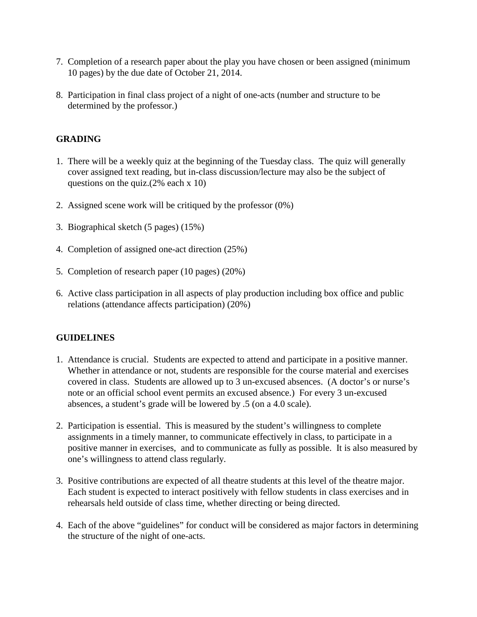- 7. Completion of a research paper about the play you have chosen or been assigned (minimum 10 pages) by the due date of October 21, 2014.
- 8. Participation in final class project of a night of one-acts (number and structure to be determined by the professor.)

#### **GRADING**

- 1. There will be a weekly quiz at the beginning of the Tuesday class. The quiz will generally cover assigned text reading, but in-class discussion/lecture may also be the subject of questions on the quiz.(2% each x 10)
- 2. Assigned scene work will be critiqued by the professor (0%)
- 3. Biographical sketch (5 pages) (15%)
- 4. Completion of assigned one-act direction (25%)
- 5. Completion of research paper (10 pages) (20%)
- 6. Active class participation in all aspects of play production including box office and public relations (attendance affects participation) (20%)

#### **GUIDELINES**

- 1. Attendance is crucial. Students are expected to attend and participate in a positive manner. Whether in attendance or not, students are responsible for the course material and exercises covered in class. Students are allowed up to 3 un-excused absences. (A doctor's or nurse's note or an official school event permits an excused absence.) For every 3 un-excused absences, a student's grade will be lowered by .5 (on a 4.0 scale).
- 2. Participation is essential. This is measured by the student's willingness to complete assignments in a timely manner, to communicate effectively in class, to participate in a positive manner in exercises, and to communicate as fully as possible. It is also measured by one's willingness to attend class regularly.
- 3. Positive contributions are expected of all theatre students at this level of the theatre major. Each student is expected to interact positively with fellow students in class exercises and in rehearsals held outside of class time, whether directing or being directed.
- 4. Each of the above "guidelines" for conduct will be considered as major factors in determining the structure of the night of one-acts.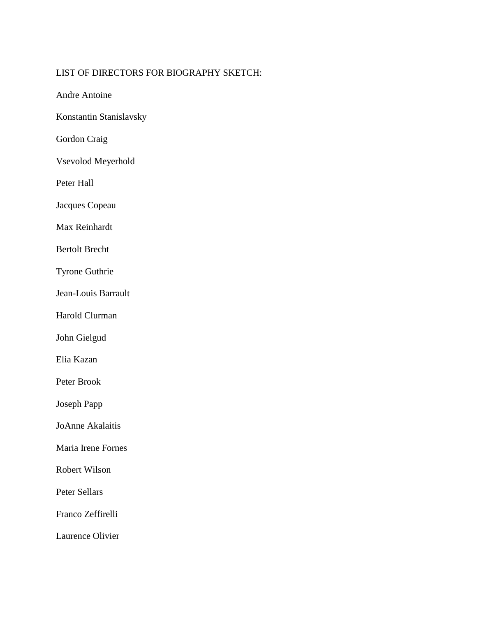### LIST OF DIRECTORS FOR BIOGRAPHY SKETCH:

Andre Antoine

Konstantin Stanislavsky

Gordon Craig

Vsevolod Meyerhold

Peter Hall

Jacques Copeau

Max Reinhardt

Bertolt Brecht

Tyrone Guthrie

Jean-Louis Barrault

Harold Clurman

John Gielgud

Elia Kazan

Peter Brook

Joseph Papp

JoAnne Akalaitis

Maria Irene Fornes

Robert Wilson

Peter Sellars

Franco Zeffirelli

Laurence Olivier